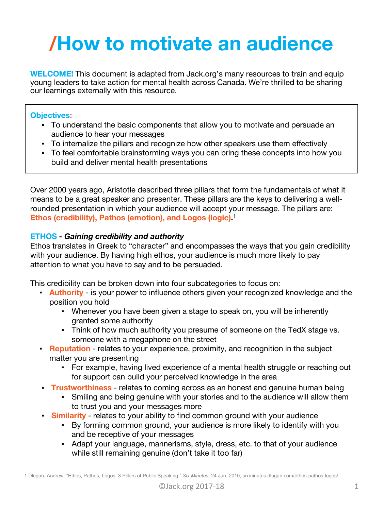# **/How to motivate an audience**

**WELCOME!** This document is adapted from Jack.org's many resources to train and equip young leaders to take action for mental health across Canada. We're thrilled to be sharing our learnings externally with this resource.

# **Objectives:**

- To understand the basic components that allow you to motivate and persuade an audience to hear your messages
- To internalize the pillars and recognize how other speakers use them effectively
- To feel comfortable brainstorming ways you can bring these concepts into how you build and deliver mental health presentations

Over 2000 years ago, Aristotle described three pillars that form the fundamentals of what it means to be a great speaker and presenter. These pillars are the keys to delivering a wellrounded presentation in which your audience will accept your message. The pillars are: **Ethos (credibility), Pathos (emotion), and Logos (logic).** 1

# **ETHOS -** *Gaining credibility and authority*

Ethos translates in Greek to "character" and encompasses the ways that you gain credibility with your audience. By having high ethos, your audience is much more likely to pay attention to what you have to say and to be persuaded.

This credibility can be broken down into four subcategories to focus on:

- **Authority** is your power to influence others given your recognized knowledge and the position you hold
	- Whenever you have been given a stage to speak on, you will be inherently granted some authority
	- Think of how much authority you presume of someone on the TedX stage vs. someone with a megaphone on the street
- **Reputation** relates to your experience, proximity, and recognition in the subject matter you are presenting
	- For example, having lived experience of a mental health struggle or reaching out for support can build your perceived knowledge in the area
- **Trustworthiness** relates to coming across as an honest and genuine human being
	- Smiling and being genuine with your stories and to the audience will allow them to trust you and your messages more
- **Similarity** relates to your ability to find common ground with your audience
	- By forming common ground, your audience is more likely to identify with you and be receptive of your messages
	- Adapt your language, mannerisms, style, dress, etc. to that of your audience while still remaining genuine (don't take it too far)